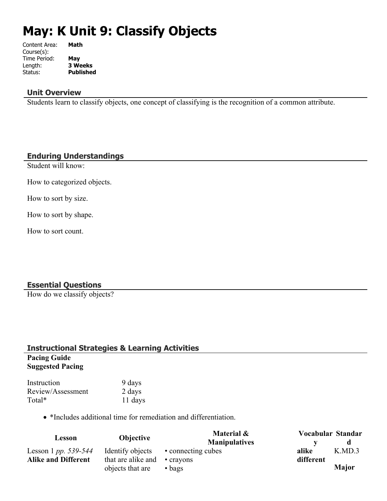# **May: K Unit 9: Classify Objects**

| Content Area: | Math             |
|---------------|------------------|
| Course(s):    |                  |
| Time Period:  | May              |
| Length:       | <b>3 Weeks</b>   |
| Status:       | <b>Published</b> |
|               |                  |

#### **Unit Overview**

Students learn to classify objects, one concept of classifying is the recognition of a common attribute.

#### **Enduring Understandings**

Student will know:

How to categorized objects.

How to sort by size.

How to sort by shape.

How to sort count.

#### **Essential Questions**

How do we classify objects?

#### **Instructional Strategies & Learning Activities Pacing Guide Suggested Pacing**

| Instruction       | 9 days  |
|-------------------|---------|
| Review/Assessment | 2 days  |
| Total*            | 11 days |

\*Includes additional time for remediation and differentiation.

| Lesson                     | <b>Objective</b>                   | Material &           |           | Vocabular Standar |
|----------------------------|------------------------------------|----------------------|-----------|-------------------|
|                            |                                    | <b>Manipulatives</b> |           |                   |
| Lesson 1 pp. 539-544       | Identify objects                   | • connecting cubes   | alike     | K.MD.3            |
| <b>Alike and Different</b> | that are alike and $\cdot$ crayons |                      | different |                   |
|                            | objects that are                   | $\bullet$ bags       |           | <b>Major</b>      |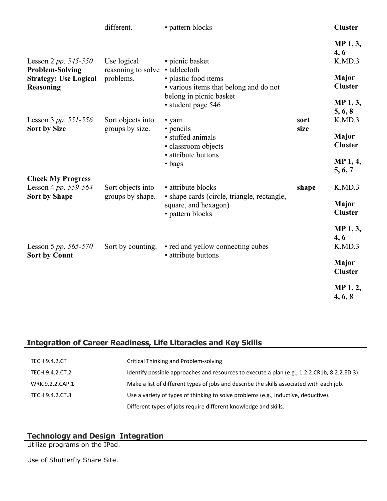|                                                                          | different.                            | • pattern blocks                                                                          |       | <b>Cluster</b>                      |
|--------------------------------------------------------------------------|---------------------------------------|-------------------------------------------------------------------------------------------|-------|-------------------------------------|
| Lesson 2 <i>pp.</i> $545 - 550$<br><b>Problem-Solving</b>                | Use logical<br>reasoning to solve     | • picnic basket<br>• tablecloth                                                           |       | MP 1, 3,<br>4, 6<br>K.MD.3<br>Major |
| <b>Strategy: Use Logical</b><br>Reasoning                                | problems.                             | · plastic food items<br>• various items that belong and do not<br>belong in picnic basket |       | <b>Cluster</b>                      |
| Lesson 3 <i>pp.</i> $551 - 556$                                          | Sort objects into                     | • student page 546<br>• yarn                                                              | sort  | MP 1, 3,<br>5, 6, 8<br>K.MD.3       |
| <b>Sort by Size</b>                                                      | groups by size.                       | • pencils<br>· stuffed animals<br>· classroom objects                                     | size  | Major<br><b>Cluster</b>             |
|                                                                          |                                       | • attribute buttons<br>$\bullet$ bags                                                     |       | MP 1, 4,<br>5, 6, 7                 |
| <b>Check My Progress</b><br>Lesson 4 pp. 559-564<br><b>Sort by Shape</b> | Sort objects into<br>groups by shape. | • attribute blocks<br>• shape cards (circle, triangle, rectangle,                         | shape | K.MD.3                              |
|                                                                          |                                       | square, and hexagon)<br>• pattern blocks                                                  |       | <b>Major</b><br><b>Cluster</b>      |
| Lesson 5 pp. $565-570$                                                   | Sort by counting.                     | • red and yellow connecting cubes                                                         |       | MP 1, 3,<br>4, 6<br>K.MD.3          |
| <b>Sort by Count</b>                                                     |                                       | • attribute buttons                                                                       |       | Major<br><b>Cluster</b>             |
|                                                                          |                                       |                                                                                           |       | MP 1, 2,<br>4, 6, 8                 |

# **Integration of Career Readiness, Life Literacies and Key Skills**

| <b>TECH.9.4.2.CT</b> | Critical Thinking and Problem-solving                                                        |
|----------------------|----------------------------------------------------------------------------------------------|
| TECH.9.4.2.CT.2      | Identify possible approaches and resources to execute a plan (e.g., 1.2.2.CR1b, 8.2.2.ED.3). |
| WRK.9.2.2.CAP.1      | Make a list of different types of jobs and describe the skills associated with each job.     |
| TECH.9.4.2.CT.3      | Use a variety of types of thinking to solve problems (e.g., inductive, deductive).           |
|                      | Different types of jobs require different knowledge and skills.                              |

#### **Technology and Design Integration**

Utilize programs on the IPad.

Use of Shutterfly Share Site.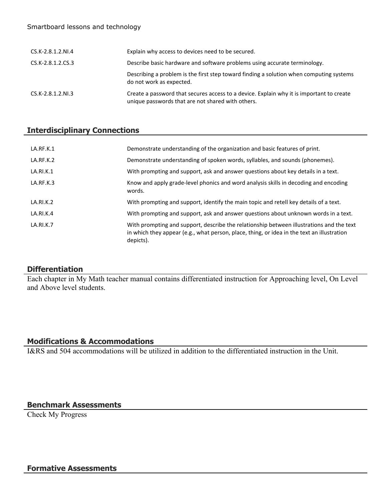#### Smartboard lessons and technology

| CS.K-2.8.1.2.NI.4 | Explain why access to devices need to be secured.                                                                                             |
|-------------------|-----------------------------------------------------------------------------------------------------------------------------------------------|
| CS.K-2.8.1.2.CS.3 | Describe basic hardware and software problems using accurate terminology.                                                                     |
|                   | Describing a problem is the first step toward finding a solution when computing systems<br>do not work as expected.                           |
| CS.K-2.8.1.2.NI.3 | Create a password that secures access to a device. Explain why it is important to create<br>unique passwords that are not shared with others. |

## **Interdisciplinary Connections**

| LA.RF.K.1        | Demonstrate understanding of the organization and basic features of print.                                                                                                                          |
|------------------|-----------------------------------------------------------------------------------------------------------------------------------------------------------------------------------------------------|
| LA.RF.K.2        | Demonstrate understanding of spoken words, syllables, and sounds (phonemes).                                                                                                                        |
| LA.RI.K.1        | With prompting and support, ask and answer questions about key details in a text.                                                                                                                   |
| LA.RF.K.3        | Know and apply grade-level phonics and word analysis skills in decoding and encoding<br>words.                                                                                                      |
| LA.RI.K.2        | With prompting and support, identify the main topic and retell key details of a text.                                                                                                               |
| LA.RI.K.4        | With prompting and support, ask and answer questions about unknown words in a text.                                                                                                                 |
| <b>LA.RI.K.7</b> | With prompting and support, describe the relationship between illustrations and the text<br>in which they appear (e.g., what person, place, thing, or idea in the text an illustration<br>depicts). |

## **Differentiation**

Each chapter in My Math teacher manual contains differentiated instruction for Approaching level, On Level and Above level students.

## **Modifications & Accommodations**

I&RS and 504 accommodations will be utilized in addition to the differentiated instruction in the Unit.

## **Benchmark Assessments**

Check My Progress